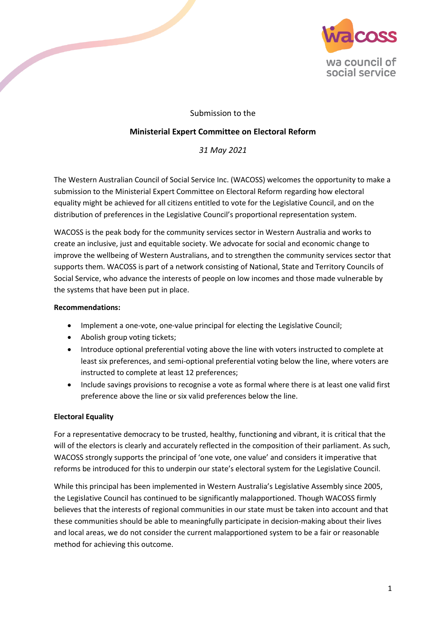

# Submission to the

## **Ministerial Expert Committee on Electoral Reform**

## *31 May 2021*

The Western Australian Council of Social Service Inc. (WACOSS) welcomes the opportunity to make a submission to the Ministerial Expert Committee on Electoral Reform regarding how electoral equality might be achieved for all citizens entitled to vote for the Legislative Council, and on the distribution of preferences in the Legislative Council's proportional representation system.

WACOSS is the peak body for the community services sector in Western Australia and works to create an inclusive, just and equitable society. We advocate for social and economic change to improve the wellbeing of Western Australians, and to strengthen the community services sector that supports them. WACOSS is part of a network consisting of National, State and Territory Councils of Social Service, who advance the interests of people on low incomes and those made vulnerable by the systems that have been put in place.

#### **Recommendations:**

- Implement a one-vote, one-value principal for electing the Legislative Council;
- Abolish group voting tickets;
- Introduce optional preferential voting above the line with voters instructed to complete at least six preferences, and semi-optional preferential voting below the line, where voters are instructed to complete at least 12 preferences;
- Include savings provisions to recognise a vote as formal where there is at least one valid first preference above the line or six valid preferences below the line.

### **Electoral Equality**

For a representative democracy to be trusted, healthy, functioning and vibrant, it is critical that the will of the electors is clearly and accurately reflected in the composition of their parliament. As such, WACOSS strongly supports the principal of 'one vote, one value' and considers it imperative that reforms be introduced for this to underpin our state's electoral system for the Legislative Council.

While this principal has been implemented in Western Australia's Legislative Assembly since 2005, the Legislative Council has continued to be significantly malapportioned. Though WACOSS firmly believes that the interests of regional communities in our state must be taken into account and that these communities should be able to meaningfully participate in decision-making about their lives and local areas, we do not consider the current malapportioned system to be a fair or reasonable method for achieving this outcome.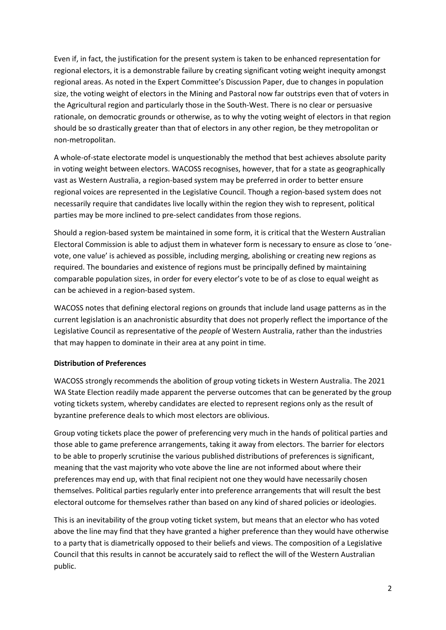Even if, in fact, the justification for the present system is taken to be enhanced representation for regional electors, it is a demonstrable failure by creating significant voting weight inequity amongst regional areas. As noted in the Expert Committee's Discussion Paper, due to changes in population size, the voting weight of electors in the Mining and Pastoral now far outstrips even that of voters in the Agricultural region and particularly those in the South-West. There is no clear or persuasive rationale, on democratic grounds or otherwise, as to why the voting weight of electors in that region should be so drastically greater than that of electors in any other region, be they metropolitan or non-metropolitan.

A whole-of-state electorate model is unquestionably the method that best achieves absolute parity in voting weight between electors. WACOSS recognises, however, that for a state as geographically vast as Western Australia, a region-based system may be preferred in order to better ensure regional voices are represented in the Legislative Council. Though a region-based system does not necessarily require that candidates live locally within the region they wish to represent, political parties may be more inclined to pre-select candidates from those regions.

Should a region-based system be maintained in some form, it is critical that the Western Australian Electoral Commission is able to adjust them in whatever form is necessary to ensure as close to 'onevote, one value' is achieved as possible, including merging, abolishing or creating new regions as required. The boundaries and existence of regions must be principally defined by maintaining comparable population sizes, in order for every elector's vote to be of as close to equal weight as can be achieved in a region-based system.

WACOSS notes that defining electoral regions on grounds that include land usage patterns as in the current legislation is an anachronistic absurdity that does not properly reflect the importance of the Legislative Council as representative of the *people* of Western Australia, rather than the industries that may happen to dominate in their area at any point in time.

### **Distribution of Preferences**

WACOSS strongly recommends the abolition of group voting tickets in Western Australia. The 2021 WA State Election readily made apparent the perverse outcomes that can be generated by the group voting tickets system, whereby candidates are elected to represent regions only as the result of byzantine preference deals to which most electors are oblivious.

Group voting tickets place the power of preferencing very much in the hands of political parties and those able to game preference arrangements, taking it away from electors. The barrier for electors to be able to properly scrutinise the various published distributions of preferences is significant, meaning that the vast majority who vote above the line are not informed about where their preferences may end up, with that final recipient not one they would have necessarily chosen themselves. Political parties regularly enter into preference arrangements that will result the best electoral outcome for themselves rather than based on any kind of shared policies or ideologies.

This is an inevitability of the group voting ticket system, but means that an elector who has voted above the line may find that they have granted a higher preference than they would have otherwise to a party that is diametrically opposed to their beliefs and views. The composition of a Legislative Council that this results in cannot be accurately said to reflect the will of the Western Australian public.